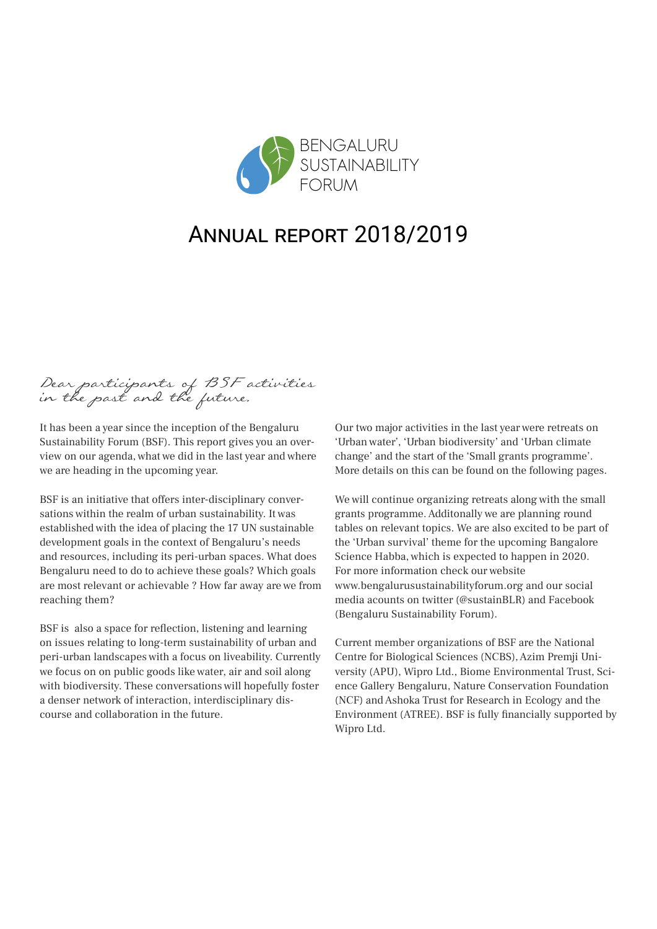

# Annual report 2018/2019

Dear participants of BSF activities in the past and the future,

It has been a year since the inception of the Bengaluru Sustainability Forum (BSF). This report gives you an overview on our agenda, what we did in the last year and where we are heading in the upcoming year.

BSF is an initiative that offers inter-disciplinary conversations within the realm of urban sustainability. It was established with the idea of placing the 17 UN sustainable development goals in the context of Bengaluru's needs and resources, including its peri-urban spaces. What does Bengaluru need to do to achieve these goals? Which goals are most relevant or achievable ? How far away are we from reaching them?

BSF is also a space for reflection, listening and learning on issues relating to long-term sustainability of urban and peri-urban landscapes with a focus on liveability. Currently we focus on on public goods like water, air and soil along with biodiversity. These conversations will hopefully foster a denser network of interaction, interdisciplinary discourse and collaboration in the future.

Our two major activities in the last year were retreats on 'Urban water', 'Urban biodiversity' and 'Urban climate change' and the start of the 'Small grants programme'. More details on this can be found on the following pages.

We will continue organizing retreats along with the small grants programme. Additonally we are planning round tables on relevant topics. We are also excited to be part of the 'Urban survival' theme for the upcoming Bangalore Science Habba, which is expected to happen in 2020. For more information check our website [www.bengalurusustainabilityforum.org a](http://www.bengalurusustainabilityforum.org)nd our social media acounts o[n twitter](https://twitter.com/sustainBLR) (@sustainBLR) and [Facebook](https://www.facebook.com/sustainBLR/)  (Bengaluru Sustainability Forum).

Current member organizations of BSF are the National Centre for Biological Sciences (NCBS), Azim Premji University (APU), Wipro Ltd., Biome Environmental Trust, Science Gallery Bengaluru, Nature Conservation Foundation (NCF) and Ashoka Trust for Research in Ecology and the Environment (ATREE). BSF is fully financially supported by Wipro Ltd.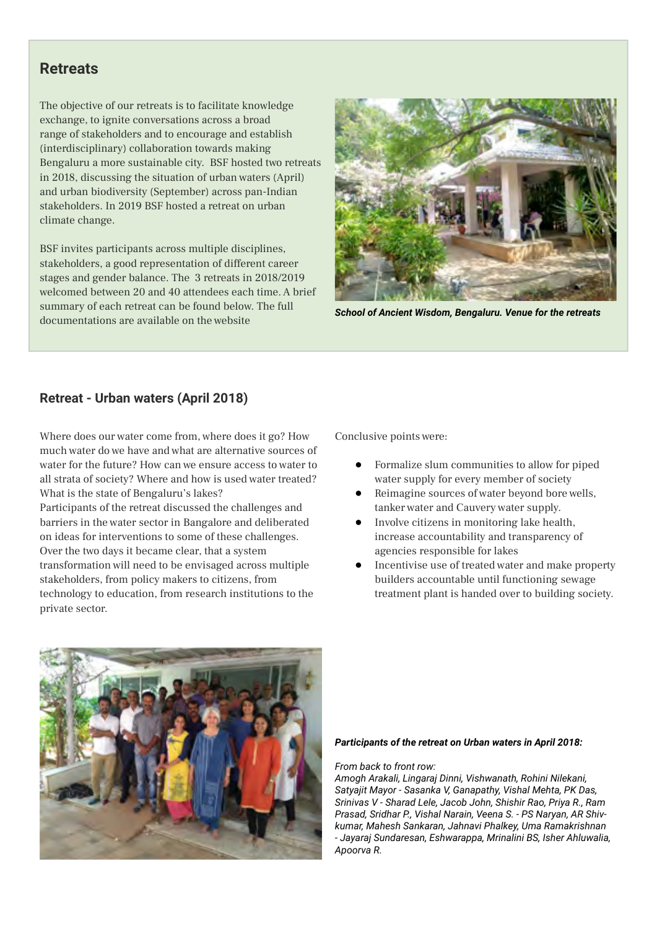### **Retreats**

The objective of our retreats is to facilitate knowledge exchange, to ignite conversations across a broad range of stakeholders and to encourage and establish (interdisciplinary) collaboration towards making Bengaluru a more sustainable city. BSF hosted two retreats in 2018, discussing the situation of urban waters (April) and urban biodiversity (September) across pan-Indian stakeholders. In 2019 BSF hosted a retreat on urban climate change.

BSF invites participants across multiple disciplines, stakeholders, a good representation of different career stages and gender balance. The 3 retreats in 2018/2019 welcomed between 20 and 40 attendees each time. A brief summary of each retreat can be found below. The full documentations are available on the website *School of Ancient Wisdom, Bengaluru. Venue for the retreats*



### **Retreat - Urban waters (April 2018)**

Where does our water come from, where does it go? How much water do we have and what are alternative sources of water for the future? How can we ensure access to water to all strata of society? Where and how is used water treated? What is the state of Bengaluru's lakes?

Participants of the retreat discussed the challenges and barriers in the water sector in Bangalore and deliberated on ideas for interventions to some of these challenges. Over the two days it became clear, that a system transformation will need to be envisaged across multiple stakeholders, from policy makers to citizens, from technology to education, from research institutions to the private sector.

Conclusive points were:

- Formalize slum communities to allow for piped water supply for every member of society
- Reimagine sources of water beyond bore wells, tanker water and Cauvery water supply.
- Involve citizens in monitoring lake health, increase accountability and transparency of agencies responsible for lakes
- Incentivise use of treated water and make property builders accountable until functioning sewage treatment plant is handed over to building society.



#### *Participants of the retreat on Urban waters in April 2018:*

#### *From back to front row:*

*Amogh Arakali, Lingaraj Dinni, Vishwanath, Rohini Nilekani, Satyajit Mayor - Sasanka V, Ganapathy, Vishal Mehta, PK Das, Srinivas V - Sharad Lele, Jacob John, Shishir Rao, Priya R., Ram Prasad, Sridhar P., Vishal Narain, Veena S. - PS Naryan, AR Shivkumar, Mahesh Sankaran, Jahnavi Phalkey, Uma Ramakrishnan - Jayaraj Sundaresan, Eshwarappa, Mrinalini BS, Isher Ahluwalia, Apoorva R.*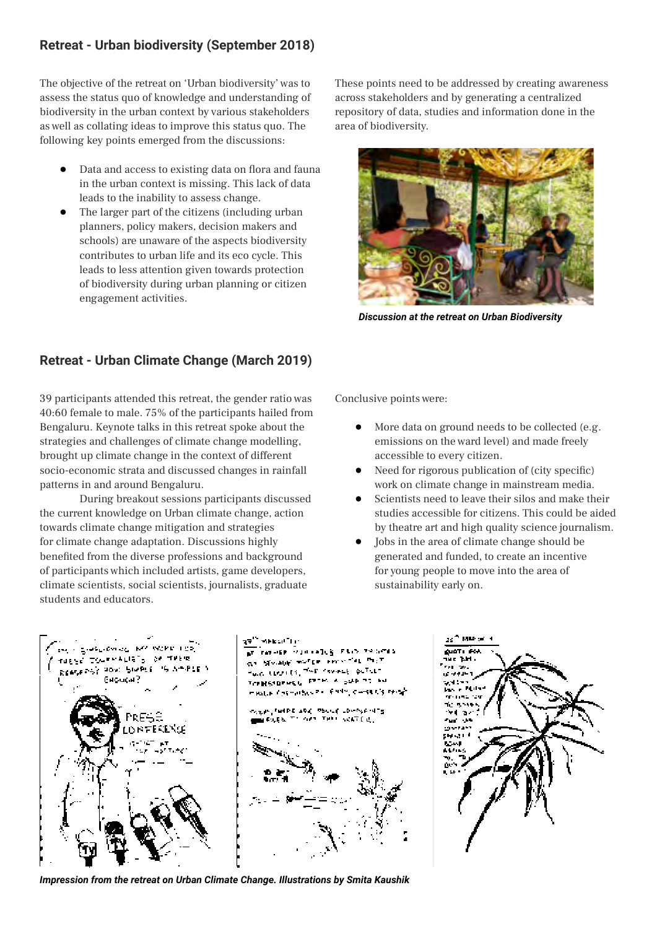### **Retreat - Urban biodiversity (September 2018)**

The objective of the retreat on 'Urban biodiversity' was to assess the status quo of knowledge and understanding of biodiversity in the urban context by various stakeholders as well as collating ideas to improve this status quo. The following key points emerged from the discussions:

- Data and access to existing data on flora and fauna in the urban context is missing. This lack of data leads to the inability to assess change.
- ● The larger part of the citizens (including urban planners, policy makers, decision makers and schools) are unaware of the aspects biodiversity contributes to urban life and its eco cycle. This leads to less attention given towards protection of biodiversity during urban planning or citizen engagement activities.

These points need to be addressed by creating awareness across stakeholders and by generating a centralized repository of data, studies and information done in the area of biodiversity.



*Discussion at the retreat on Urban Biodiversity*

### **Retreat - Urban Climate Change (March 2019)**

39 participants attended this retreat, the gender ratio was 40:60 female to male. 75% of the participants hailed from Bengaluru. Keynote talks in this retreat spoke about the strategies and challenges of climate change modelling, brought up climate change in the context of different socio-economic strata and discussed changes in rainfall patterns in and around Bengaluru.

During breakout sessions participants discussed the current knowledge on Urban climate change, action towards climate change mitigation and strategies for climate change adaptation. Discussions highly benefited from the diverse professions and background of participants which included artists, game developers, climate scientists, social scientists, journalists, graduate students and educators.

Conclusive points were:

- More data on ground needs to be collected (e.g. emissions on the ward level) and made freely accessible to every citizen.
- Need for rigorous publication of (city specific) work on climate change in mainstream media.
- Scientists need to leave their silos and make their studies accessible for citizens. This could be aided by theatre art and high quality science journalism.
- Jobs in the area of climate change should be generated and funded, to create an incentive for young people to move into the area of sustainability early on.



*Impression from the retreat on Urban Climate Change. Illustrations by Smita Kaushik*

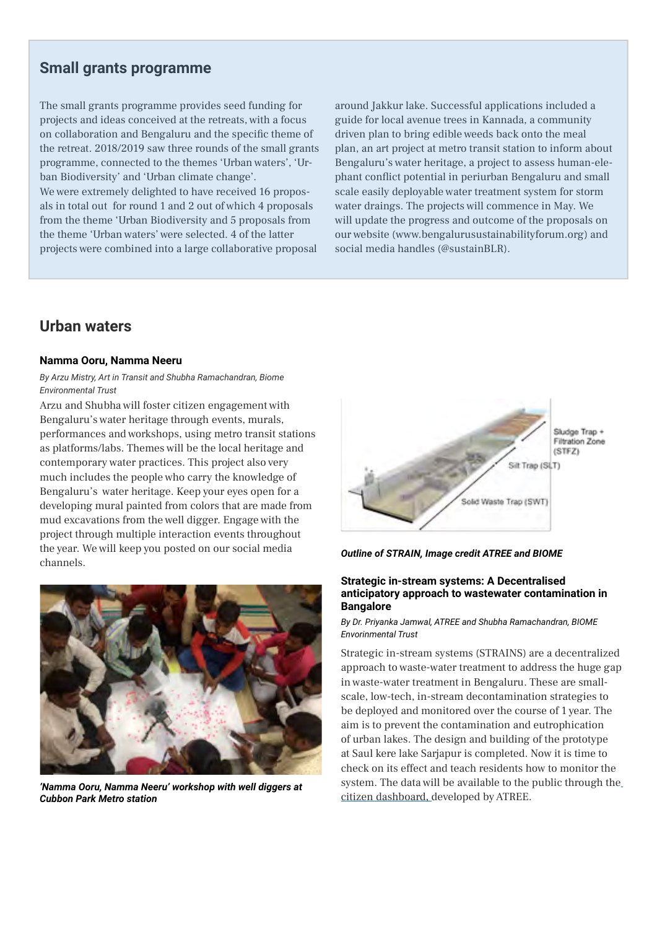## **Small grants programme**

The small grants programme provides seed funding for projects and ideas conceived at the retreats, with a focus on collaboration and Bengaluru and the specific theme of the retreat. 2018/2019 saw three rounds of the small grants programme, connected to the themes 'Urban waters', 'Urban Biodiversity' and 'Urban climate change'.

We were extremely delighted to have received 16 proposals in total out for round 1 and 2 out of which 4 proposals from the theme 'Urban Biodiversity and 5 proposals from the theme 'Urban waters' were selected. 4 of the latter projects were combined into a large collaborative proposal around Jakkur lake. Successful applications included a guide for local avenue trees in Kannada, a community driven plan to bring edible weeds back onto the meal plan, an art project at metro transit station to inform about Bengaluru's water heritage, a project to assess human-elephant conflict potential in periurban Bengaluru and small scale easily deployable water treatment system for storm water draings. The projects will commence in May. We will update the progress and outcome of the proposals on our website ([www.bengalurusustainabilityforum.org](http://www.bengalurusustainabilityforum.org)) and social media handles (@sustainBLR).

## **Urban waters**

#### **Namma Ooru, Namma Neeru**

#### *By Arzu Mistry, Art in Transit and Shubha Ramachandran, Biome Environmental Trust*

Arzu and Shubha will foster citizen engagement with Bengaluru's water heritage through events, murals, performances and workshops, using metro transit stations as platforms/labs. Themes will be the local heritage and contemporary water practices. This project also very much includes the people who carry the knowledge of Bengaluru's water heritage. Keep your eyes open for a developing mural painted from colors that are made from mud excavations from the well digger. Engage with the project through multiple interaction events throughout the year. We will keep you posted on our social media channels.



*'Namma Ooru, Namma Neeru' workshop with well diggers at Cubbon Park Metro station*



*Outline of STRAIN, Image credit ATREE and BIOME*

#### **Strategic in-stream systems: A Decentralised anticipatory approach to wastewater contamination in Bangalore**

#### *By Dr. Priyanka Jamwal, ATREE and Shubha Ramachandran, BIOME Envorinmental Trust*

Strategic in-stream systems (STRAINS) are a decentralized approach to waste-water treatment to address the huge gap in waste-water treatment in Bengaluru. These are smallscale, low-tech, in-stream decontamination strategies to be deployed and monitored over the course of 1 year. The aim is to prevent the contamination and eutrophication of urban lakes. The design and building of the prototype at Saul kere lake Sarjapur is completed. Now it is time to check on its effect and teach residents how to monitor the system. The data will be available to the public through the [citizen dashboard,](https://www.atree.org/media-feature/citizen-lake-dashboards) developed by ATREE.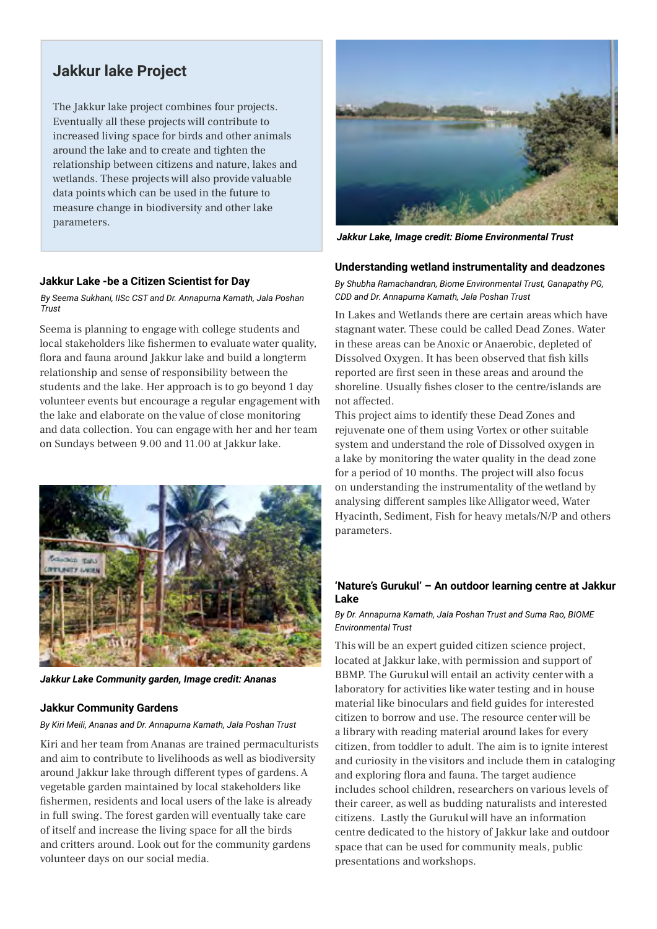## **Jakkur lake Project**

The Jakkur lake project combines four projects. Eventually all these projects will contribute to increased living space for birds and other animals around the lake and to create and tighten the relationship between citizens and nature, lakes and wetlands. These projects will also provide valuable data points which can be used in the future to measure change in biodiversity and other lake parameters.



*Jakkur Lake, Image credit: Biome Environmental Trust*

#### **Jakkur Lake -be a Citizen Scientist for Day**

*By Seema Sukhani, IISc CST and Dr. Annapurna Kamath, Jala Poshan Trust*

Seema is planning to engage with college students and local stakeholders like fishermen to evaluate water quality, flora and fauna around Jakkur lake and build a longterm relationship and sense of responsibility between the students and the lake. Her approach is to go beyond 1 day volunteer events but encourage a regular engagement with the lake and elaborate on the value of close monitoring and data collection. You can engage with her and her team on Sundays between 9.00 and 11.00 at Jakkur lake.



*Jakkur Lake Community garden, Image credit: Ananas*

#### **Jakkur Community Gardens**

#### *By Kiri Meili, Ananas and Dr. Annapurna Kamath, Jala Poshan Trust*

Kiri and her team from Ananas are trained permaculturists and aim to contribute to livelihoods as well as biodiversity around Jakkur lake through different types of gardens. A vegetable garden maintained by local stakeholders like fishermen, residents and local users of the lake is already in full swing. The forest garden will eventually take care of itself and increase the living space for all the birds and critters around. Look out for the community gardens volunteer days on our social media.

#### **Understanding wetland instrumentality and deadzones**

*By Shubha Ramachandran, Biome Environmental Trust, Ganapathy PG, CDD and Dr. Annapurna Kamath, Jala Poshan Trust*

In Lakes and Wetlands there are certain areas which have stagnant water. These could be called Dead Zones. Water in these areas can be Anoxic or Anaerobic, depleted of Dissolved Oxygen. It has been observed that fish kills reported are first seen in these areas and around the shoreline. Usually fishes closer to the centre/islands are not affected.

This project aims to identify these Dead Zones and rejuvenate one of them using Vortex or other suitable system and understand the role of Dissolved oxygen in a lake by monitoring the water quality in the dead zone for a period of 10 months. The project will also focus on understanding the instrumentality of the wetland by analysing different samples like Alligator weed, Water Hyacinth, Sediment, Fish for heavy metals/N/P and others parameters.

#### **'Nature's Gurukul' – An outdoor learning centre at Jakkur Lake**

#### *By Dr. Annapurna Kamath, Jala Poshan Trust and Suma Rao, BIOME Environmental Trust*

This will be an expert guided citizen science project, located at Jakkur lake, with permission and support of BBMP. The Gurukul will entail an activity center with a laboratory for activities like water testing and in house material like binoculars and field guides for interested citizen to borrow and use. The resource center will be a library with reading material around lakes for every citizen, from toddler to adult. The aim is to ignite interest and curiosity in the visitors and include them in cataloging and exploring flora and fauna. The target audience includes school children, researchers on various levels of their career, as well as budding naturalists and interested citizens. Lastly the Gurukul will have an information centre dedicated to the history of Jakkur lake and outdoor space that can be used for community meals, public presentations and workshops.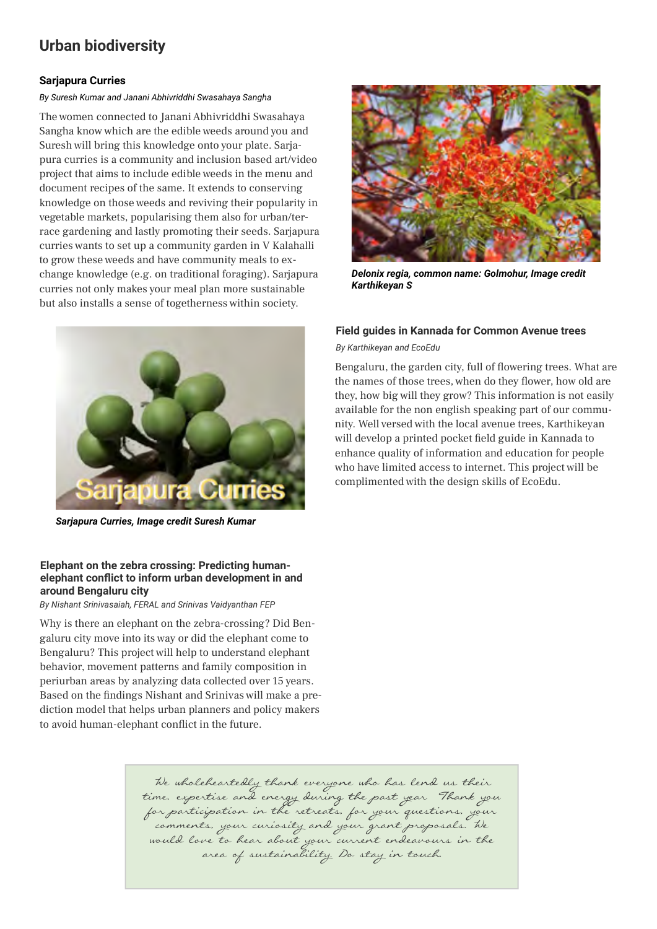## **Urban biodiversity**

#### **Sarjapura Curries**

*By Suresh Kumar and Janani Abhivriddhi Swasahaya Sangha*

The women connected to Janani Abhivriddhi Swasahaya Sangha know which are the edible weeds around you and Suresh will bring this knowledge onto your plate. Sarjapura curries is a community and inclusion based art/video project that aims to include edible weeds in the menu and document recipes of the same. It extends to conserving knowledge on those weeds and reviving their popularity in vegetable markets, popularising them also for urban/terrace gardening and lastly promoting their seeds. Sarjapura curries wants to set up a community garden in V Kalahalli to grow these weeds and have community meals to exchange knowledge (e.g. on traditional foraging). Sarjapura curries not only makes your meal plan more sustainable but also installs a sense of togetherness within society.



*Sarjapura Curries, Image credit Suresh Kumar*

#### **Elephant on the zebra crossing: Predicting humanelephant conflict to inform urban development in and around Bengaluru city**

*By Nishant Srinivasaiah, FERAL and Srinivas Vaidyanthan FEP*

Why is there an elephant on the zebra-crossing? Did Bengaluru city move into its way or did the elephant come to Bengaluru? This project will help to understand elephant behavior, movement patterns and family composition in periurban areas by analyzing data collected over 15 years. Based on the findings Nishant and Srinivas will make a prediction model that helps urban planners and policy makers to avoid human-elephant conflict in the future.



*Delonix regia, common name: Golmohur, Image credit Karthikeyan S*

#### **Field guides in Kannada for Common Avenue trees**

*By Karthikeyan and EcoEdu*

Bengaluru, the garden city, full of flowering trees. What are the names of those trees, when do they flower, how old are they, how big will they grow? This information is not easily available for the non english speaking part of our community. Well versed with the local avenue trees, Karthikeyan will develop a printed pocket field guide in Kannada to enhance quality of information and education for people who have limited access to internet. This project will be complimented with the design skills of EcoEdu.

We wholeheartedly thank everyone who has lend us their time, expertise and energy during the past year! Thank you for participation in the retreats, for your questions, your comments, your curiosity and your grant proposals. We would love to hear about your current endeavours in the<br>area of sustainability. Do stay in touch.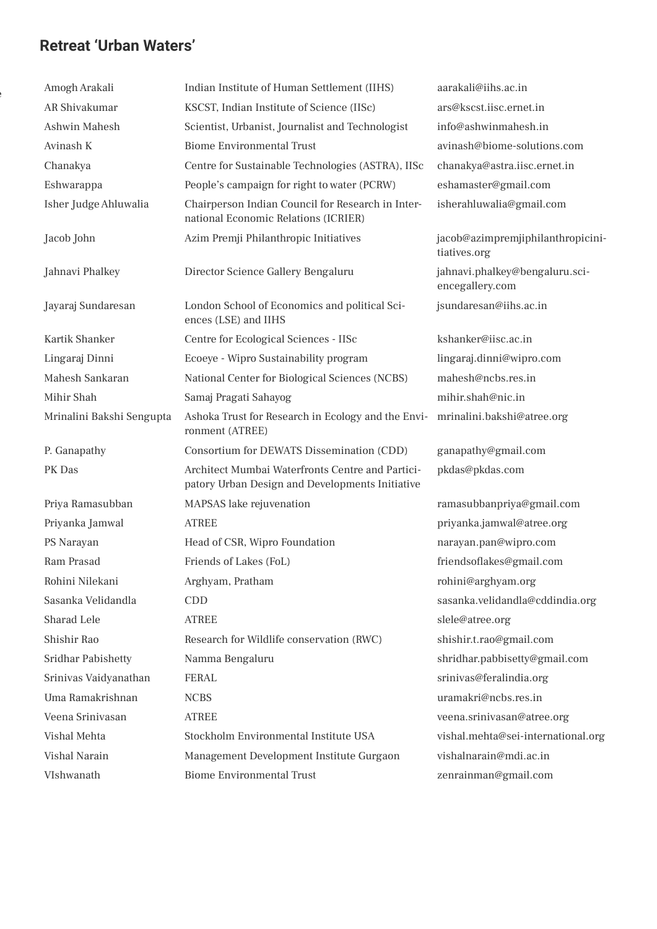## **Retreat 'Urban Waters'**

other and share the share the share that the share the share that the share that the share that the share that <br>Districts

| Amogh Arakali             | Indian Institute of Human Settlement (IIHS)                                                         | aarakali@iihs.ac.in                               |
|---------------------------|-----------------------------------------------------------------------------------------------------|---------------------------------------------------|
| AR Shivakumar             | KSCST, Indian Institute of Science (IISc)                                                           | ars@kscst.iisc.ernet.in                           |
| Ashwin Mahesh             | Scientist, Urbanist, Journalist and Technologist                                                    | info@ashwinmahesh.in                              |
| Avinash K                 | <b>Biome Environmental Trust</b>                                                                    | avinash@biome-solutions.com                       |
| Chanakya                  | Centre for Sustainable Technologies (ASTRA), IISc                                                   | chanakya@astra.iisc.ernet.in                      |
| Eshwarappa                | People's campaign for right to water (PCRW)                                                         | eshamaster@gmail.com                              |
| Isher Judge Ahluwalia     | Chairperson Indian Council for Research in Inter-<br>national Economic Relations (ICRIER)           | isherahluwalia@gmail.com                          |
| Jacob John                | Azim Premji Philanthropic Initiatives                                                               | jacob@azimpremjiphilanthropicini-<br>tiatives.org |
| Jahnavi Phalkey           | Director Science Gallery Bengaluru                                                                  | jahnavi.phalkey@bengaluru.sci-<br>encegallery.com |
| Jayaraj Sundaresan        | London School of Economics and political Sci-<br>ences (LSE) and IIHS                               | jsundaresan@iihs.ac.in                            |
| Kartik Shanker            | Centre for Ecological Sciences - IISc                                                               | kshanker@iisc.ac.in                               |
| Lingaraj Dinni            | Ecoeye - Wipro Sustainability program                                                               | lingaraj.dinni@wipro.com                          |
| Mahesh Sankaran           | National Center for Biological Sciences (NCBS)                                                      | mahesh@ncbs.res.in                                |
| Mihir Shah                | Samaj Pragati Sahayog                                                                               | mihir.shah@nic.in                                 |
| Mrinalini Bakshi Sengupta | Ashoka Trust for Research in Ecology and the Envi-<br>ronment (ATREE)                               | mrinalini.bakshi@atree.org                        |
| P. Ganapathy              | Consortium for DEWATS Dissemination (CDD)                                                           | ganapathy@gmail.com                               |
| PK Das                    | Architect Mumbai Waterfronts Centre and Partici-<br>patory Urban Design and Developments Initiative | pkdas@pkdas.com                                   |
| Priya Ramasubban          | MAPSAS lake rejuvenation                                                                            | ramasubbanpriya@gmail.com                         |
| Priyanka Jamwal           | <b>ATREE</b>                                                                                        | priyanka.jamwal@atree.org                         |
| PS Narayan                | Head of CSR, Wipro Foundation                                                                       | narayan.pan@wipro.com                             |
| Ram Prasad                | Friends of Lakes (FoL)                                                                              | friendsoflakes@gmail.com                          |
| Rohini Nilekani           | Arghyam, Pratham                                                                                    | rohini@arghyam.org                                |
| Sasanka Velidandla        | <b>CDD</b>                                                                                          | sasanka.velidandla@cddindia.org                   |
| Sharad Lele               | <b>ATREE</b>                                                                                        | slele@atree.org                                   |
| Shishir Rao               | Research for Wildlife conservation (RWC)                                                            | shishir.t.rao@gmail.com                           |
| <b>Sridhar Pabishetty</b> | Namma Bengaluru                                                                                     | shridhar.pabbisetty@gmail.com                     |
| Srinivas Vaidyanathan     | <b>FERAL</b>                                                                                        | srinivas@feralindia.org                           |
| Uma Ramakrishnan          | <b>NCBS</b>                                                                                         | uramakri@ncbs.res.in                              |
| Veena Srinivasan          | <b>ATREE</b>                                                                                        | veena.srinivasan@atree.org                        |
| Vishal Mehta              | Stockholm Environmental Institute USA                                                               | vishal.mehta@sei-international.org                |
| Vishal Narain             | Management Development Institute Gurgaon                                                            | vishalnarain@mdi.ac.in                            |
| VIshwanath                | <b>Biome Environmental Trust</b>                                                                    | zenrainman@gmail.com                              |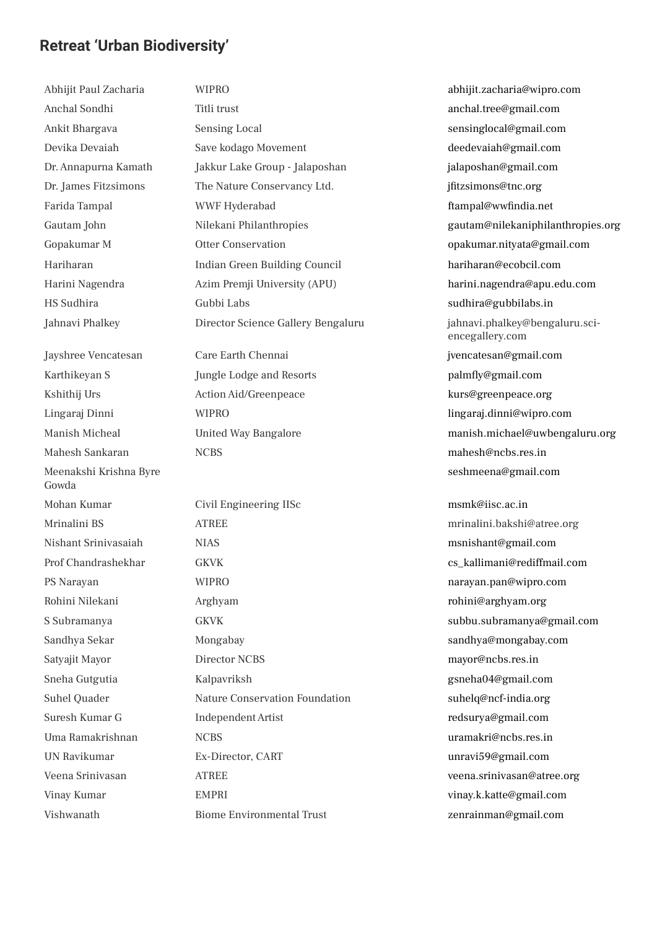## **Retreat 'Urban Biodiversity'**

Abhijit Paul Zacharia WIPRO abhijit.zacharia@wipro.com Anchal Sondhi Titli trust anchal.tree@gmail.com Mahesh Sankaran NCBS mahesh@ncbs.res.in Meenakshi Krishna Byre Gowda

Ankit Bhargava Sensing Local sensinglocal@gmail.com Devika Devaiah Save kodago Movement deedevaiah@gmail.com Dr. Annapurna Kamath Jakkur Lake Group - Jalaposhan jalaposhan@gmail.com Dr. James Fitzsimons The Nature Conservancy Ltd. **ifitzsimons@tnc.org** The Nature Conservancy Ltd. Farida Tampal **Exampal MEXA Example 19** WWF Hyderabad **ftampal@wwfindia.net** Gopakumar M Otter Conservation opakumar.nityata@gmail.com Hariharan Indian Green Building Council hariharan@ecobcil.com HS Sudhira Gubbi Labs sudhira@gubbilabs.in Jayshree Vencatesan Care Earth Chennai jvencatesan@gmail.com Karthikeyan S Jungle Lodge and Resorts palmfly@gmail.com Kshithij Urs Action Aid/Greenpeace kurs@greenpeace.org Lingaraj Dinni WIPRO lingaraj.dinni@wipro.com

Mohan Kumar Civil Engineering IISc msmk@iisc.ac.in Mrinalini BS ATREE mrinalini.bakshi@atree.org Nishant Srinivasaiah NIAS msnishant@gmail.com Prof Chandrashekhar GKVK GKVK cs\_kallimani@rediffmail.com PS Narayan WIPRO narayan.pan@wipro.com Rohini Nilekani Arghyam rohini@arghyam.org S Subramanya GKVK subbu.subramanya@gmail.com Sandhya Sekar Mongabay sandhya@mongabay.com Satyajit Mayor Director NCBS mayor@ncbs.res.in Sneha Gutgutia Kalpavriksh gsneha04@gmail.com Suhel Quader Nature Conservation Foundation suhelq@ncf-india.org Suresh Kumar G Independent Artist redsurya@gmail.com Uma Ramakrishnan NCBS uramakri@ncbs.res.in UN Ravikumar Ex-Director, CART unravi59@gmail.com Veena Srinivasan ATREE veena.srinivasan@atree.org Vinay Kumar EMPRI vinay.k.katte@gmail.com Vishwanath Biome Environmental Trust zenrainman@gmail.com

Gautam John Nilekani Philanthropies (Gautam@nilekaniphilanthropies.org Harini Nagendra Azim Premji University (APU) harini.nagendra@apu.edu.com Jahnavi Phalkey Director Science Gallery Bengaluru jahnavi.phalkey@bengaluru.sciencegallery.com Manish Micheal United Way Bangalore manish.michael@uwbengaluru.org seshmeena@gmail.com